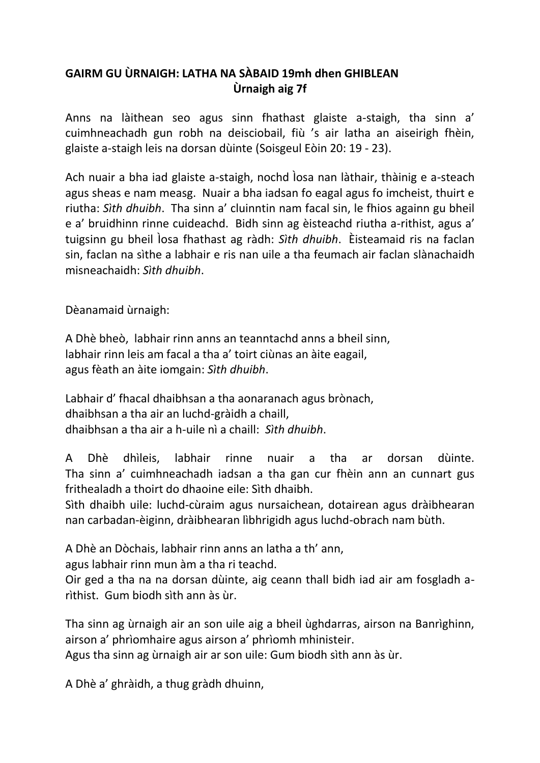## **GAIRM GU ÙRNAIGH: LATHA NA SÀBAID 19mh dhen GHIBLEAN Ùrnaigh aig 7f**

Anns na làithean seo agus sinn fhathast glaiste a-staigh, tha sinn a' cuimhneachadh gun robh na deisciobail, fiù 's air latha an aiseirigh fhèin, glaiste a-staigh leis na dorsan dùinte (Soisgeul Eòin 20: 19 - 23).

Ach nuair a bha iad glaiste a-staigh, nochd Ìosa nan làthair, thàinig e a-steach agus sheas e nam measg. Nuair a bha iadsan fo eagal agus fo imcheist, thuirt e riutha: *Sìth dhuibh*. Tha sinn a' cluinntin nam facal sin, le fhios againn gu bheil e a' bruidhinn rinne cuideachd. Bidh sinn ag èisteachd riutha a-rithist, agus a' tuigsinn gu bheil Ìosa fhathast ag ràdh: *Sìth dhuibh*. Èisteamaid ris na faclan sin, faclan na sìthe a labhair e ris nan uile a tha feumach air faclan slànachaidh misneachaidh: *Sìth dhuibh*.

Dèanamaid ùrnaigh:

A Dhè bheò, labhair rinn anns an teanntachd anns a bheil sinn, labhair rinn leis am facal a tha a' toirt ciùnas an àite eagail, agus fèath an àite iomgain: *Sìth dhuibh*.

Labhair d' fhacal dhaibhsan a tha aonaranach agus brònach, dhaibhsan a tha air an luchd-gràidh a chaill, dhaibhsan a tha air a h-uile nì a chaill: *Sìth dhuibh*.

A Dhè dhìleis, labhair rinne nuair a tha ar dorsan dùinte. Tha sinn a' cuimhneachadh iadsan a tha gan cur fhèin ann an cunnart gus frithealadh a thoirt do dhaoine eile: Sìth dhaibh.

Sìth dhaibh uile: luchd-cùraim agus nursaichean, dotairean agus dràibhearan nan carbadan-èiginn, dràibhearan lìbhrigidh agus luchd-obrach nam bùth.

A Dhè an Dòchais, labhair rinn anns an latha a th' ann,

agus labhair rinn mun àm a tha ri teachd.

Oir ged a tha na na dorsan dùinte, aig ceann thall bidh iad air am fosgladh arìthist. Gum biodh sìth ann às ùr.

Tha sinn ag ùrnaigh air an son uile aig a bheil ùghdarras, airson na Banrìghinn, airson a' phrìomhaire agus airson a' phrìomh mhinisteir.

Agus tha sinn ag ùrnaigh air ar son uile: Gum biodh sìth ann às ùr.

A Dhè a' ghràidh, a thug gràdh dhuinn,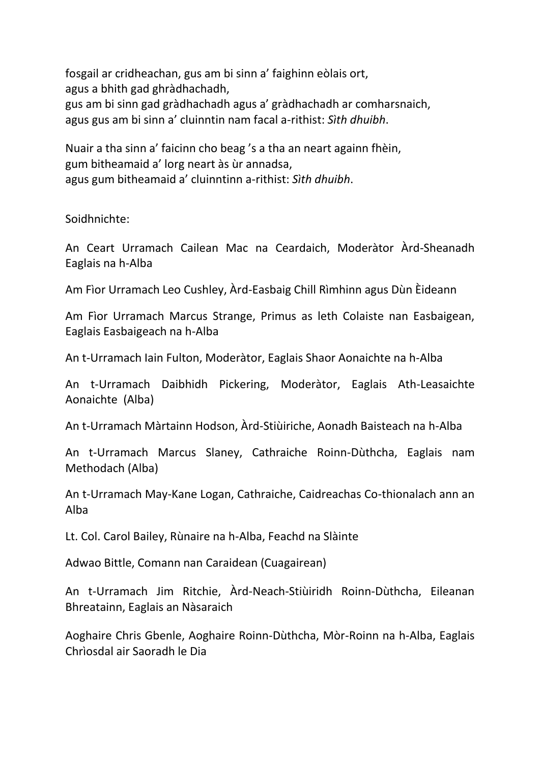fosgail ar cridheachan, gus am bi sinn a' faighinn eòlais ort, agus a bhith gad ghràdhachadh, gus am bi sinn gad gràdhachadh agus a' gràdhachadh ar comharsnaich, agus gus am bi sinn a' cluinntin nam facal a-rithist: *Sìth dhuibh*.

Nuair a tha sinn a' faicinn cho beag 's a tha an neart againn fhèin, gum bitheamaid a' lorg neart às ùr annadsa, agus gum bitheamaid a' cluinntinn a-rithist: *Sìth dhuibh*.

Soidhnichte:

An Ceart Urramach Cailean Mac na Ceardaich, Moderàtor Àrd-Sheanadh Eaglais na h-Alba

Am Fìor Urramach Leo Cushley, Àrd-Easbaig Chill Rìmhinn agus Dùn Èideann

Am Fìor Urramach Marcus Strange, Primus as leth Colaiste nan Easbaigean, Eaglais Easbaigeach na h-Alba

An t-Urramach Iain Fulton, Moderàtor, Eaglais Shaor Aonaichte na h-Alba

An t-Urramach Daibhidh Pickering, Moderàtor, Eaglais Ath-Leasaichte Aonaichte (Alba)

An t-Urramach Màrtainn Hodson, Àrd-Stiùiriche, Aonadh Baisteach na h-Alba

An t-Urramach Marcus Slaney, Cathraiche Roinn-Dùthcha, Eaglais nam Methodach (Alba)

An t-Urramach May-Kane Logan, Cathraiche, Caidreachas Co-thionalach ann an Alba

Lt. Col. Carol Bailey, Rùnaire na h-Alba, Feachd na Slàinte

Adwao Bittle, Comann nan Caraidean (Cuagairean)

An t-Urramach Jim Ritchie, Àrd-Neach-Stiùiridh Roinn-Dùthcha, Eileanan Bhreatainn, Eaglais an Nàsaraich

Aoghaire Chris Gbenle, Aoghaire Roinn-Dùthcha, Mòr-Roinn na h-Alba, Eaglais Chrìosdal air Saoradh le Dia